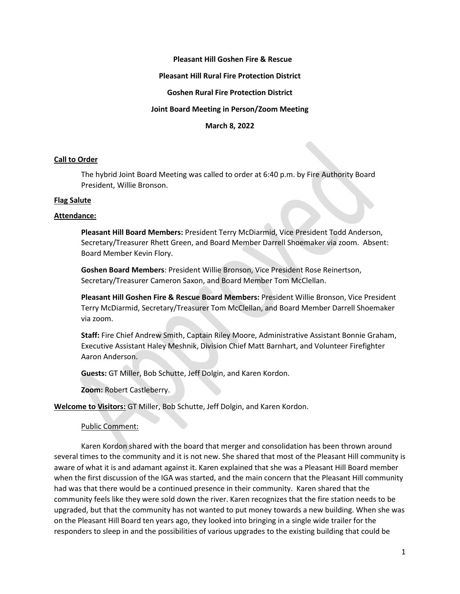## **Pleasant Hill Goshen Fire & Rescue**

#### **Pleasant Hill Rural Fire Protection District**

#### **Goshen Rural Fire Protection District**

#### **Joint Board Meeting in Person/Zoom Meeting**

**March 8, 2022**

#### **Call to Order**

The hybrid Joint Board Meeting was called to order at 6:40 p.m. by Fire Authority Board President, Willie Bronson.

#### **Flag Salute**

#### **Attendance:**

**Pleasant Hill Board Members:** President Terry McDiarmid, Vice President Todd Anderson, Secretary/Treasurer Rhett Green, and Board Member Darrell Shoemaker via zoom. Absent: Board Member Kevin Flory.

**Goshen Board Members**: President Willie Bronson, Vice President Rose Reinertson, Secretary/Treasurer Cameron Saxon, and Board Member Tom McClellan.

**Pleasant Hill Goshen Fire & Rescue Board Members:** President Willie Bronson, Vice President Terry McDiarmid, Secretary/Treasurer Tom McClellan, and Board Member Darrell Shoemaker via zoom.

**Staff:** Fire Chief Andrew Smith, Captain Riley Moore, Administrative Assistant Bonnie Graham, Executive Assistant Haley Meshnik, Division Chief Matt Barnhart, and Volunteer Firefighter Aaron Anderson.

**Guests:** GT Miller, Bob Schutte, Jeff Dolgin, and Karen Kordon.

**Zoom:** Robert Castleberry.

**Welcome to Visitors:** GT Miller, Bob Schutte, Jeff Dolgin, and Karen Kordon.

#### Public Comment:

Karen Kordon shared with the board that merger and consolidation has been thrown around several times to the community and it is not new. She shared that most of the Pleasant Hill community is aware of what it is and adamant against it. Karen explained that she was a Pleasant Hill Board member when the first discussion of the IGA was started, and the main concern that the Pleasant Hill community had was that there would be a continued presence in their community. Karen shared that the community feels like they were sold down the river. Karen recognizes that the fire station needs to be upgraded, but that the community has not wanted to put money towards a new building. When she was on the Pleasant Hill Board ten years ago, they looked into bringing in a single wide trailer for the responders to sleep in and the possibilities of various upgrades to the existing building that could be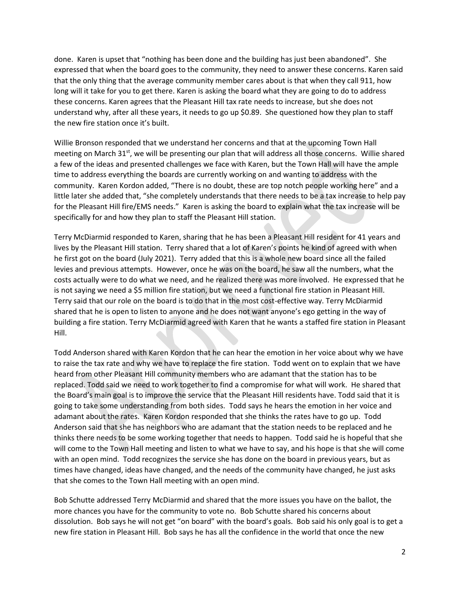done. Karen is upset that "nothing has been done and the building has just been abandoned". She expressed that when the board goes to the community, they need to answer these concerns. Karen said that the only thing that the average community member cares about is that when they call 911, how long will it take for you to get there. Karen is asking the board what they are going to do to address these concerns. Karen agrees that the Pleasant Hill tax rate needs to increase, but she does not understand why, after all these years, it needs to go up \$0.89. She questioned how they plan to staff the new fire station once it's built.

Willie Bronson responded that we understand her concerns and that at the upcoming Town Hall meeting on March 31<sup>st</sup>, we will be presenting our plan that will address all those concerns. Willie shared a few of the ideas and presented challenges we face with Karen, but the Town Hall will have the ample time to address everything the boards are currently working on and wanting to address with the community. Karen Kordon added, "There is no doubt, these are top notch people working here" and a little later she added that, "she completely understands that there needs to be a tax increase to help pay for the Pleasant Hill fire/EMS needs." Karen is asking the board to explain what the tax increase will be specifically for and how they plan to staff the Pleasant Hill station.

Terry McDiarmid responded to Karen, sharing that he has been a Pleasant Hill resident for 41 years and lives by the Pleasant Hill station. Terry shared that a lot of Karen's points he kind of agreed with when he first got on the board (July 2021). Terry added that this is a whole new board since all the failed levies and previous attempts. However, once he was on the board, he saw all the numbers, what the costs actually were to do what we need, and he realized there was more involved. He expressed that he is not saying we need a \$5 million fire station, but we need a functional fire station in Pleasant Hill. Terry said that our role on the board is to do that in the most cost-effective way. Terry McDiarmid shared that he is open to listen to anyone and he does not want anyone's ego getting in the way of building a fire station. Terry McDiarmid agreed with Karen that he wants a staffed fire station in Pleasant Hill.

Todd Anderson shared with Karen Kordon that he can hear the emotion in her voice about why we have to raise the tax rate and why we have to replace the fire station. Todd went on to explain that we have heard from other Pleasant Hill community members who are adamant that the station has to be replaced. Todd said we need to work together to find a compromise for what will work. He shared that the Board's main goal is to improve the service that the Pleasant Hill residents have. Todd said that it is going to take some understanding from both sides. Todd says he hears the emotion in her voice and adamant about the rates. Karen Kordon responded that she thinks the rates have to go up. Todd Anderson said that she has neighbors who are adamant that the station needs to be replaced and he thinks there needs to be some working together that needs to happen. Todd said he is hopeful that she will come to the Town Hall meeting and listen to what we have to say, and his hope is that she will come with an open mind. Todd recognizes the service she has done on the board in previous years, but as times have changed, ideas have changed, and the needs of the community have changed, he just asks that she comes to the Town Hall meeting with an open mind.

Bob Schutte addressed Terry McDiarmid and shared that the more issues you have on the ballot, the more chances you have for the community to vote no. Bob Schutte shared his concerns about dissolution. Bob says he will not get "on board" with the board's goals. Bob said his only goal is to get a new fire station in Pleasant Hill. Bob says he has all the confidence in the world that once the new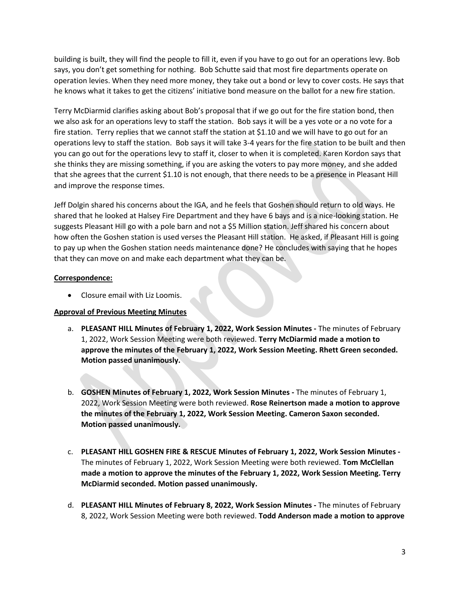building is built, they will find the people to fill it, even if you have to go out for an operations levy. Bob says, you don't get something for nothing. Bob Schutte said that most fire departments operate on operation levies. When they need more money, they take out a bond or levy to cover costs. He says that he knows what it takes to get the citizens' initiative bond measure on the ballot for a new fire station.

Terry McDiarmid clarifies asking about Bob's proposal that if we go out for the fire station bond, then we also ask for an operations levy to staff the station. Bob says it will be a yes vote or a no vote for a fire station. Terry replies that we cannot staff the station at \$1.10 and we will have to go out for an operations levy to staff the station. Bob says it will take 3-4 years for the fire station to be built and then you can go out for the operations levy to staff it, closer to when it is completed. Karen Kordon says that she thinks they are missing something, if you are asking the voters to pay more money, and she added that she agrees that the current \$1.10 is not enough, that there needs to be a presence in Pleasant Hill and improve the response times.

Jeff Dolgin shared his concerns about the IGA, and he feels that Goshen should return to old ways. He shared that he looked at Halsey Fire Department and they have 6 bays and is a nice-looking station. He suggests Pleasant Hill go with a pole barn and not a \$5 Million station. Jeff shared his concern about how often the Goshen station is used verses the Pleasant Hill station. He asked, if Pleasant Hill is going to pay up when the Goshen station needs maintenance done? He concludes with saying that he hopes that they can move on and make each department what they can be.

## **Correspondence:**

• Closure email with Liz Loomis.

# **Approval of Previous Meeting Minutes**

- a. **PLEASANT HILL Minutes of February 1, 2022, Work Session Minutes -** The minutes of February 1, 2022, Work Session Meeting were both reviewed. **Terry McDiarmid made a motion to approve the minutes of the February 1, 2022, Work Session Meeting. Rhett Green seconded. Motion passed unanimously.**
- b. **GOSHEN Minutes of February 1, 2022, Work Session Minutes -** The minutes of February 1, 2022, Work Session Meeting were both reviewed. **Rose Reinertson made a motion to approve the minutes of the February 1, 2022, Work Session Meeting. Cameron Saxon seconded. Motion passed unanimously.**
- c. **PLEASANT HILL GOSHEN FIRE & RESCUE Minutes of February 1, 2022, Work Session Minutes -** The minutes of February 1, 2022, Work Session Meeting were both reviewed. **Tom McClellan made a motion to approve the minutes of the February 1, 2022, Work Session Meeting. Terry McDiarmid seconded. Motion passed unanimously.**
- d. **PLEASANT HILL Minutes of February 8, 2022, Work Session Minutes -** The minutes of February 8, 2022, Work Session Meeting were both reviewed. **Todd Anderson made a motion to approve**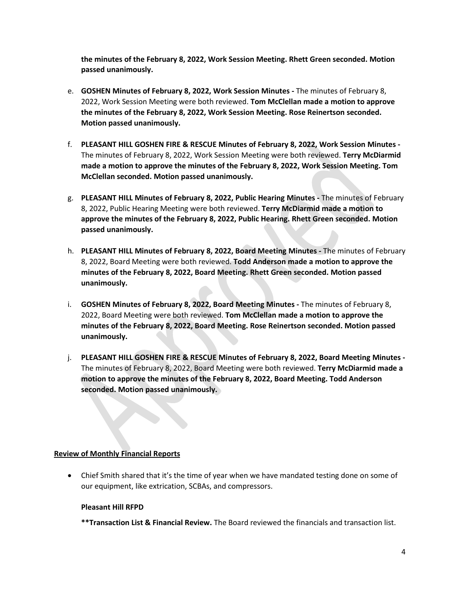**the minutes of the February 8, 2022, Work Session Meeting. Rhett Green seconded. Motion passed unanimously.** 

- e. **GOSHEN Minutes of February 8, 2022, Work Session Minutes -** The minutes of February 8, 2022, Work Session Meeting were both reviewed. **Tom McClellan made a motion to approve the minutes of the February 8, 2022, Work Session Meeting. Rose Reinertson seconded. Motion passed unanimously.**
- f. **PLEASANT HILL GOSHEN FIRE & RESCUE Minutes of February 8, 2022, Work Session Minutes -** The minutes of February 8, 2022, Work Session Meeting were both reviewed. **Terry McDiarmid made a motion to approve the minutes of the February 8, 2022, Work Session Meeting. Tom McClellan seconded. Motion passed unanimously.**
- g. **PLEASANT HILL Minutes of February 8, 2022, Public Hearing Minutes -** The minutes of February 8, 2022, Public Hearing Meeting were both reviewed. **Terry McDiarmid made a motion to approve the minutes of the February 8, 2022, Public Hearing. Rhett Green seconded. Motion passed unanimously.**
- h. **PLEASANT HILL Minutes of February 8, 2022, Board Meeting Minutes -** The minutes of February 8, 2022, Board Meeting were both reviewed. **Todd Anderson made a motion to approve the minutes of the February 8, 2022, Board Meeting. Rhett Green seconded. Motion passed unanimously.**
- i. **GOSHEN Minutes of February 8, 2022, Board Meeting Minutes -** The minutes of February 8, 2022, Board Meeting were both reviewed. **Tom McClellan made a motion to approve the minutes of the February 8, 2022, Board Meeting. Rose Reinertson seconded. Motion passed unanimously.**
- j. **PLEASANT HILL GOSHEN FIRE & RESCUE Minutes of February 8, 2022, Board Meeting Minutes -** The minutes of February 8, 2022, Board Meeting were both reviewed. **Terry McDiarmid made a motion to approve the minutes of the February 8, 2022, Board Meeting. Todd Anderson seconded. Motion passed unanimously.**

## **Review of Monthly Financial Reports**

• Chief Smith shared that it's the time of year when we have mandated testing done on some of our equipment, like extrication, SCBAs, and compressors.

## **Pleasant Hill RFPD**

**\*\*Transaction List & Financial Review.** The Board reviewed the financials and transaction list.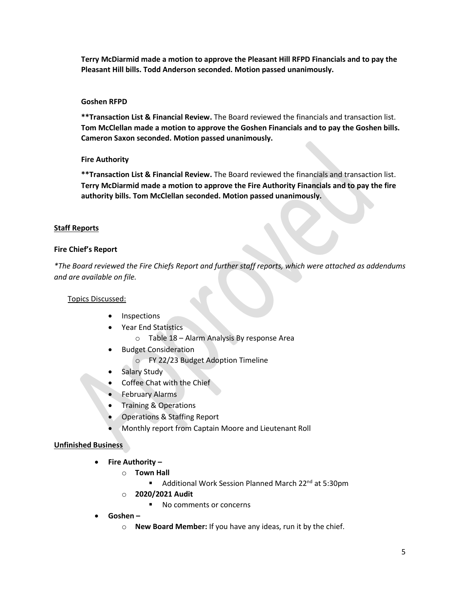**Terry McDiarmid made a motion to approve the Pleasant Hill RFPD Financials and to pay the Pleasant Hill bills. Todd Anderson seconded. Motion passed unanimously.**

## **Goshen RFPD**

**\*\*Transaction List & Financial Review.** The Board reviewed the financials and transaction list. **Tom McClellan made a motion to approve the Goshen Financials and to pay the Goshen bills. Cameron Saxon seconded. Motion passed unanimously.**

## **Fire Authority**

**\*\*Transaction List & Financial Review.** The Board reviewed the financials and transaction list. **Terry McDiarmid made a motion to approve the Fire Authority Financials and to pay the fire authority bills. Tom McClellan seconded. Motion passed unanimously.**

## **Staff Reports**

## **Fire Chief's Report**

*\*The Board reviewed the Fire Chiefs Report and further staff reports, which were attached as addendums and are available on file.* 

# Topics Discussed:

- **Inspections**
- Year End Statistics
	- o Table 18 Alarm Analysis By response Area
- Budget Consideration
	- o FY 22/23 Budget Adoption Timeline
- Salary Study
- Coffee Chat with the Chief
- February Alarms
- Training & Operations
- Operations & Staffing Report
- Monthly report from Captain Moore and Lieutenant Roll

# **Unfinished Business**

- **Fire Authority –**
	- o **Town Hall**
		- Additional Work Session Planned March 22<sup>nd</sup> at 5:30pm
	- o **2020/2021 Audit**
		- No comments or concerns
- **Goshen –**
	- o **New Board Member:** If you have any ideas, run it by the chief.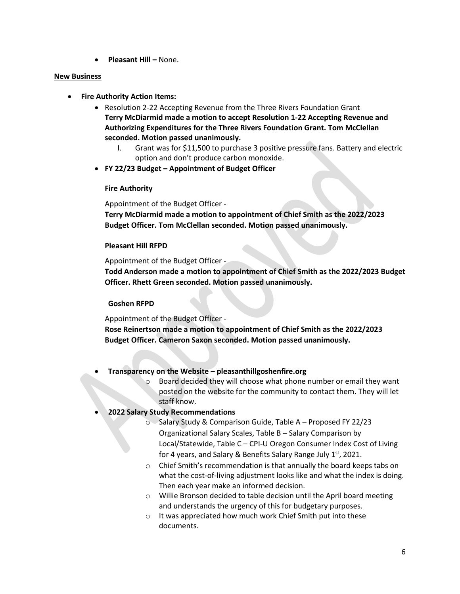• **Pleasant Hill –** None.

#### **New Business**

- **Fire Authority Action Items:**
	- Resolution 2-22 Accepting Revenue from the Three Rivers Foundation Grant **Terry McDiarmid made a motion to accept Resolution 1-22 Accepting Revenue and Authorizing Expenditures for the Three Rivers Foundation Grant. Tom McClellan seconded. Motion passed unanimously.** 
		- I. Grant was for \$11,500 to purchase 3 positive pressure fans. Battery and electric option and don't produce carbon monoxide.
	- **FY 22/23 Budget – Appointment of Budget Officer**

## **Fire Authority**

Appointment of the Budget Officer -

**Terry McDiarmid made a motion to appointment of Chief Smith as the 2022/2023 Budget Officer. Tom McClellan seconded. Motion passed unanimously.**

## **Pleasant Hill RFPD**

Appointment of the Budget Officer -

**Todd Anderson made a motion to appointment of Chief Smith as the 2022/2023 Budget Officer. Rhett Green seconded. Motion passed unanimously.**

## **Goshen RFPD**

Appointment of the Budget Officer -

**Rose Reinertson made a motion to appointment of Chief Smith as the 2022/2023 Budget Officer. Cameron Saxon seconded. Motion passed unanimously.**

- **Transparency on the Website – pleasanthillgoshenfire.org**
	- $\circ$  Board decided they will choose what phone number or email they want posted on the website for the community to contact them. They will let staff know.

## • **2022 Salary Study Recommendations**

- o Salary Study & Comparison Guide, Table A Proposed FY 22/23 Organizational Salary Scales, Table B – Salary Comparison by Local/Statewide, Table C – CPI-U Oregon Consumer Index Cost of Living for 4 years, and Salary & Benefits Salary Range July  $1<sup>st</sup>$ , 2021.
- o Chief Smith's recommendation is that annually the board keeps tabs on what the cost-of-living adjustment looks like and what the index is doing. Then each year make an informed decision.
- o Willie Bronson decided to table decision until the April board meeting and understands the urgency of this for budgetary purposes.
- o It was appreciated how much work Chief Smith put into these documents.